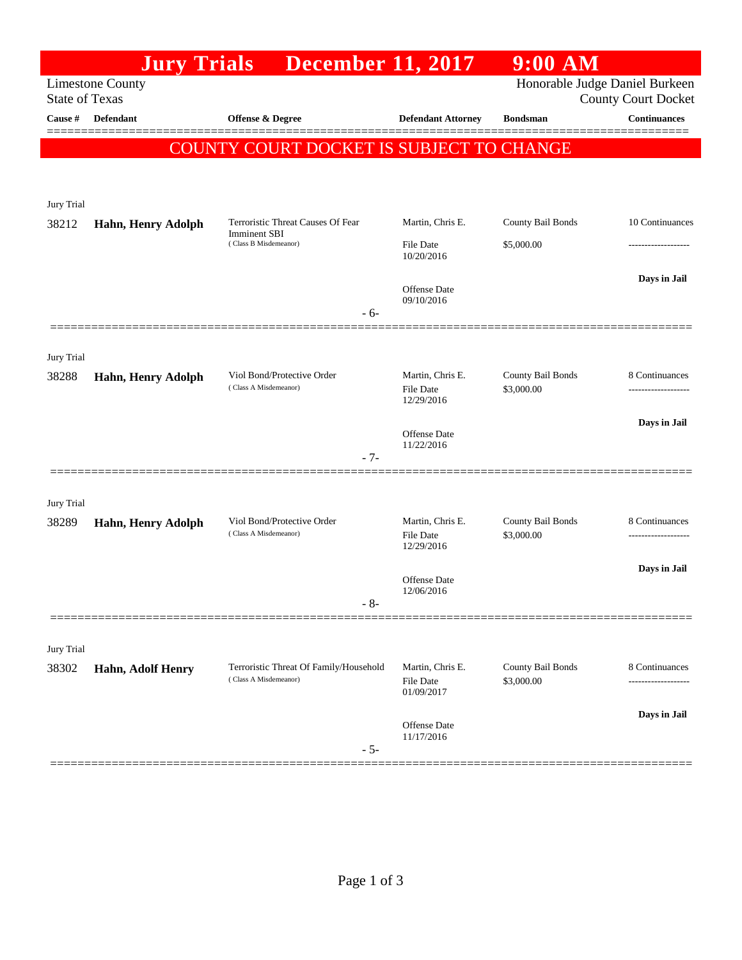|                                                                                                                  | <b>Jury Trials</b> | <b>December 11, 2017</b>                                        |                                             | $9:00$ AM                       |                                     |  |  |  |
|------------------------------------------------------------------------------------------------------------------|--------------------|-----------------------------------------------------------------|---------------------------------------------|---------------------------------|-------------------------------------|--|--|--|
| Honorable Judge Daniel Burkeen<br><b>Limestone County</b><br><b>State of Texas</b><br><b>County Court Docket</b> |                    |                                                                 |                                             |                                 |                                     |  |  |  |
| Cause #                                                                                                          | Defendant          | Offense & Degree                                                | <b>Defendant Attorney</b>                   | <b>Bondsman</b>                 | <b>Continuances</b>                 |  |  |  |
| COUNTY COURT DOCKET IS SUBJECT TO CHANGE                                                                         |                    |                                                                 |                                             |                                 |                                     |  |  |  |
|                                                                                                                  |                    |                                                                 |                                             |                                 |                                     |  |  |  |
|                                                                                                                  |                    |                                                                 |                                             |                                 |                                     |  |  |  |
| Jury Trial<br>38212                                                                                              | Hahn, Henry Adolph | Terroristic Threat Causes Of Fear                               | Martin, Chris E.                            | County Bail Bonds               | 10 Continuances                     |  |  |  |
|                                                                                                                  |                    | Imminent SBI<br>(Class B Misdemeanor)                           | <b>File Date</b><br>10/20/2016              | \$5,000.00                      |                                     |  |  |  |
|                                                                                                                  |                    |                                                                 | Offense Date<br>09/10/2016                  |                                 | Days in Jail                        |  |  |  |
|                                                                                                                  |                    | $-6-$                                                           |                                             |                                 |                                     |  |  |  |
| Jury Trial                                                                                                       |                    |                                                                 |                                             |                                 |                                     |  |  |  |
| 38288                                                                                                            | Hahn, Henry Adolph | Viol Bond/Protective Order<br>(Class A Misdemeanor)             | Martin, Chris E.<br><b>File Date</b>        | County Bail Bonds<br>\$3,000.00 | 8 Continuances                      |  |  |  |
|                                                                                                                  |                    |                                                                 | 12/29/2016                                  |                                 |                                     |  |  |  |
|                                                                                                                  |                    |                                                                 | Offense Date                                |                                 | Days in Jail                        |  |  |  |
|                                                                                                                  |                    | $-7-$                                                           | 11/22/2016                                  |                                 |                                     |  |  |  |
|                                                                                                                  |                    |                                                                 |                                             |                                 |                                     |  |  |  |
| Jury Trial                                                                                                       | Hahn, Henry Adolph | Viol Bond/Protective Order                                      | Martin, Chris E.                            | County Bail Bonds               | 8 Continuances                      |  |  |  |
| 38289                                                                                                            |                    | (Class A Misdemeanor)                                           | File Date<br>12/29/2016                     | \$3,000.00                      |                                     |  |  |  |
|                                                                                                                  |                    |                                                                 | <b>Offense</b> Date                         |                                 | Days in Jail                        |  |  |  |
|                                                                                                                  |                    | $-8-$                                                           | 12/06/2016                                  |                                 |                                     |  |  |  |
|                                                                                                                  |                    |                                                                 |                                             |                                 |                                     |  |  |  |
| Jury Trial                                                                                                       |                    |                                                                 |                                             |                                 |                                     |  |  |  |
| 38302                                                                                                            | Hahn, Adolf Henry  | Terroristic Threat Of Family/Household<br>(Class A Misdemeanor) | Martin, Chris E.<br>File Date<br>01/09/2017 | County Bail Bonds<br>\$3,000.00 | 8 Continuances<br>----------------- |  |  |  |
|                                                                                                                  |                    |                                                                 |                                             |                                 | Days in Jail                        |  |  |  |
|                                                                                                                  |                    | $-5-$                                                           | Offense Date<br>11/17/2016                  |                                 |                                     |  |  |  |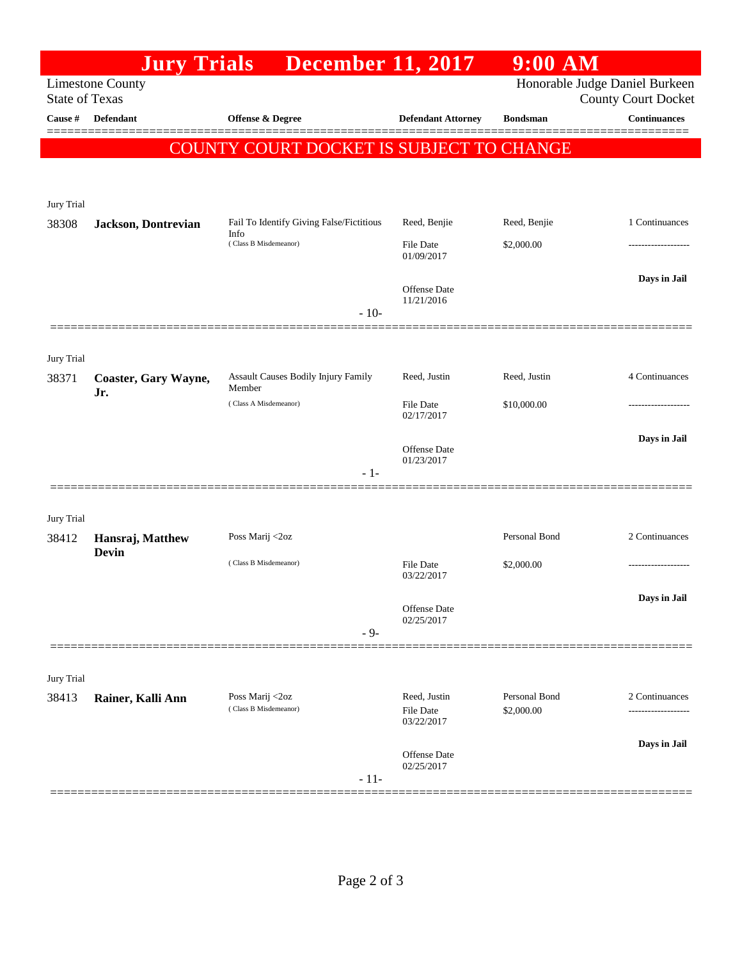|                                                                                                                  |                                  | <b>Jury Trials</b> December 11, 2017                                      |                                   | $9:00$ AM                   |                     |  |
|------------------------------------------------------------------------------------------------------------------|----------------------------------|---------------------------------------------------------------------------|-----------------------------------|-----------------------------|---------------------|--|
| Honorable Judge Daniel Burkeen<br><b>Limestone County</b><br><b>State of Texas</b><br><b>County Court Docket</b> |                                  |                                                                           |                                   |                             |                     |  |
| Cause #                                                                                                          | <b>Defendant</b>                 | Offense & Degree                                                          | <b>Defendant Attorney</b>         | <b>Bondsman</b>             | <b>Continuances</b> |  |
|                                                                                                                  |                                  |                                                                           |                                   |                             |                     |  |
|                                                                                                                  |                                  | COUNTY COURT DOCKET IS SUBJECT TO CHANGE                                  |                                   |                             |                     |  |
|                                                                                                                  |                                  |                                                                           |                                   |                             |                     |  |
| Jury Trial                                                                                                       |                                  |                                                                           |                                   |                             |                     |  |
| 38308                                                                                                            | <b>Jackson</b> , Dontrevian      | Fail To Identify Giving False/Fictitious<br>Info<br>(Class B Misdemeanor) | Reed, Benjie                      | Reed, Benjie                | 1 Continuances      |  |
|                                                                                                                  |                                  |                                                                           | <b>File Date</b><br>01/09/2017    | \$2,000.00                  |                     |  |
|                                                                                                                  |                                  |                                                                           |                                   |                             | Days in Jail        |  |
|                                                                                                                  |                                  |                                                                           | <b>Offense</b> Date<br>11/21/2016 |                             |                     |  |
|                                                                                                                  |                                  | $-10-$                                                                    |                                   |                             |                     |  |
|                                                                                                                  |                                  |                                                                           |                                   |                             |                     |  |
| Jury Trial<br>38371                                                                                              | Coaster, Gary Wayne,             | Assault Causes Bodily Injury Family                                       | Reed, Justin                      | Reed, Justin                | 4 Continuances      |  |
|                                                                                                                  | Jr.                              | Member<br>(Class A Misdemeanor)                                           | <b>File Date</b>                  | \$10,000.00                 |                     |  |
|                                                                                                                  |                                  |                                                                           | 02/17/2017                        |                             |                     |  |
|                                                                                                                  |                                  |                                                                           | <b>Offense</b> Date               |                             | Days in Jail        |  |
|                                                                                                                  |                                  | $-1-$                                                                     | 01/23/2017                        |                             |                     |  |
|                                                                                                                  |                                  |                                                                           |                                   |                             |                     |  |
| Jury Trial                                                                                                       |                                  |                                                                           |                                   |                             |                     |  |
| 38412                                                                                                            | Hansraj, Matthew<br><b>Devin</b> | Poss Marij <2oz                                                           |                                   | Personal Bond               | 2 Continuances      |  |
|                                                                                                                  |                                  | (Class B Misdemeanor)                                                     | <b>File Date</b>                  | \$2,000.00                  |                     |  |
|                                                                                                                  |                                  |                                                                           | 03/22/2017                        |                             |                     |  |
|                                                                                                                  |                                  |                                                                           | Offense Date<br>02/25/2017        |                             | Days in Jail        |  |
|                                                                                                                  |                                  | $-9-$                                                                     |                                   |                             |                     |  |
|                                                                                                                  |                                  |                                                                           |                                   |                             |                     |  |
| Jury Trial                                                                                                       |                                  |                                                                           |                                   |                             |                     |  |
| 38413                                                                                                            | Rainer, Kalli Ann                | Poss Marij <2oz<br>(Class B Misdemeanor)                                  | Reed, Justin<br>File Date         | Personal Bond<br>\$2,000.00 | 2 Continuances      |  |
|                                                                                                                  |                                  |                                                                           | 03/22/2017                        |                             |                     |  |
|                                                                                                                  |                                  |                                                                           | Offense Date                      |                             | Days in Jail        |  |
|                                                                                                                  |                                  | $-11-$                                                                    | 02/25/2017                        |                             |                     |  |
|                                                                                                                  |                                  |                                                                           |                                   |                             |                     |  |